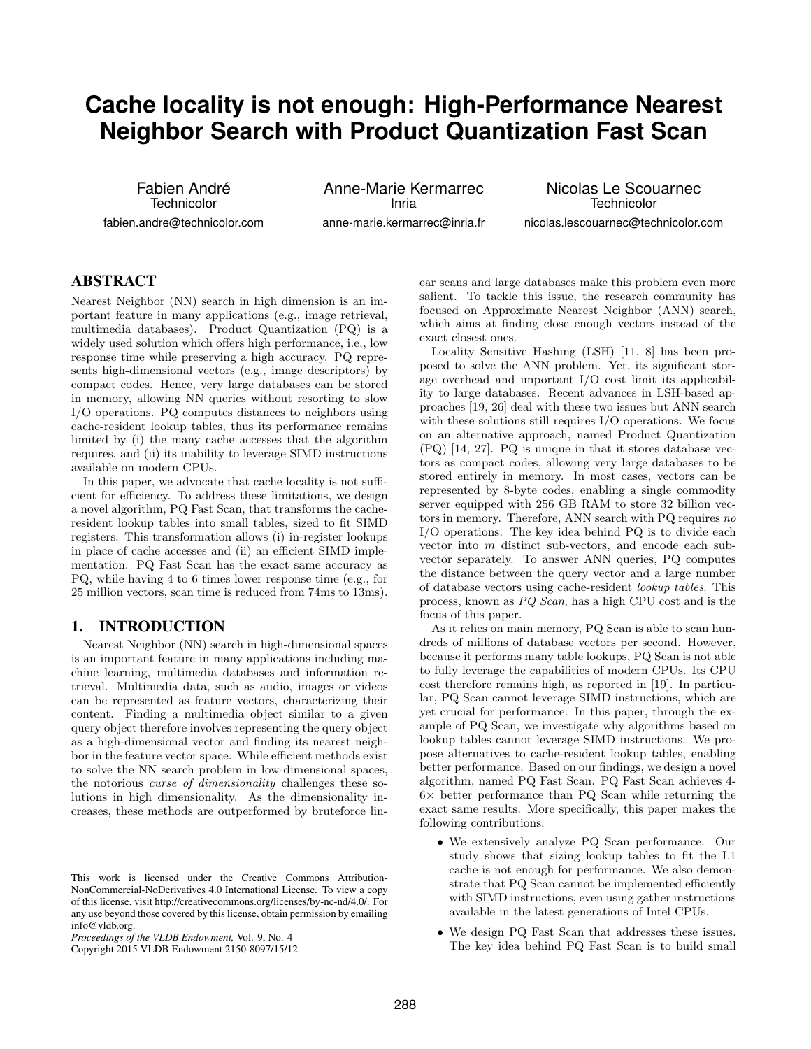# **Cache locality is not enough: High-Performance Nearest Neighbor Search with Product Quantization Fast Scan**

Fabien André **Technicolor** 

fabien.andre@technicolor.com

Anne-Marie Kermarrec Inria anne-marie.kermarrec@inria.fr

Nicolas Le Scouarnec **Technicolor** nicolas.lescouarnec@technicolor.com

# ABSTRACT

Nearest Neighbor (NN) search in high dimension is an important feature in many applications (e.g., image retrieval, multimedia databases). Product Quantization (PQ) is a widely used solution which offers high performance, i.e., low response time while preserving a high accuracy. PQ represents high-dimensional vectors (e.g., image descriptors) by compact codes. Hence, very large databases can be stored in memory, allowing NN queries without resorting to slow I/O operations. PQ computes distances to neighbors using cache-resident lookup tables, thus its performance remains limited by (i) the many cache accesses that the algorithm requires, and (ii) its inability to leverage SIMD instructions available on modern CPUs.

In this paper, we advocate that cache locality is not sufficient for efficiency. To address these limitations, we design a novel algorithm, PQ Fast Scan, that transforms the cacheresident lookup tables into small tables, sized to fit SIMD registers. This transformation allows (i) in-register lookups in place of cache accesses and (ii) an efficient SIMD implementation. PQ Fast Scan has the exact same accuracy as PQ, while having 4 to 6 times lower response time (e.g., for 25 million vectors, scan time is reduced from 74ms to 13ms).

# 1. INTRODUCTION

Nearest Neighbor (NN) search in high-dimensional spaces is an important feature in many applications including machine learning, multimedia databases and information retrieval. Multimedia data, such as audio, images or videos can be represented as feature vectors, characterizing their content. Finding a multimedia object similar to a given query object therefore involves representing the query object as a high-dimensional vector and finding its nearest neighbor in the feature vector space. While efficient methods exist to solve the NN search problem in low-dimensional spaces, the notorious curse of dimensionality challenges these solutions in high dimensionality. As the dimensionality increases, these methods are outperformed by bruteforce lin-

Copyright 2015 VLDB Endowment 2150-8097/15/12.

ear scans and large databases make this problem even more salient. To tackle this issue, the research community has focused on Approximate Nearest Neighbor (ANN) search, which aims at finding close enough vectors instead of the exact closest ones.

Locality Sensitive Hashing (LSH) [\[11,](#page-11-0) [8\]](#page-11-1) has been proposed to solve the ANN problem. Yet, its significant storage overhead and important I/O cost limit its applicability to large databases. Recent advances in LSH-based approaches [\[19,](#page-11-2) [26\]](#page-11-3) deal with these two issues but ANN search with these solutions still requires I/O operations. We focus on an alternative approach, named Product Quantization (PQ) [\[14,](#page-11-4) [27\]](#page-11-5). PQ is unique in that it stores database vectors as compact codes, allowing very large databases to be stored entirely in memory. In most cases, vectors can be represented by 8-byte codes, enabling a single commodity server equipped with 256 GB RAM to store 32 billion vectors in memory. Therefore, ANN search with PQ requires no I/O operations. The key idea behind PQ is to divide each vector into m distinct sub-vectors, and encode each subvector separately. To answer ANN queries, PQ computes the distance between the query vector and a large number of database vectors using cache-resident lookup tables. This process, known as PQ Scan, has a high CPU cost and is the focus of this paper.

As it relies on main memory, PQ Scan is able to scan hundreds of millions of database vectors per second. However, because it performs many table lookups, PQ Scan is not able to fully leverage the capabilities of modern CPUs. Its CPU cost therefore remains high, as reported in [\[19\]](#page-11-2). In particular, PQ Scan cannot leverage SIMD instructions, which are yet crucial for performance. In this paper, through the example of PQ Scan, we investigate why algorithms based on lookup tables cannot leverage SIMD instructions. We propose alternatives to cache-resident lookup tables, enabling better performance. Based on our findings, we design a novel algorithm, named PQ Fast Scan. PQ Fast Scan achieves 4-  $6\times$  better performance than PQ Scan while returning the exact same results. More specifically, this paper makes the following contributions:

- We extensively analyze PQ Scan performance. Our study shows that sizing lookup tables to fit the L1 cache is not enough for performance. We also demonstrate that PQ Scan cannot be implemented efficiently with SIMD instructions, even using gather instructions available in the latest generations of Intel CPUs.
- We design PQ Fast Scan that addresses these issues. The key idea behind PQ Fast Scan is to build small

This work is licensed under the Creative Commons Attribution-NonCommercial-NoDerivatives 4.0 International License. To view a copy of this license, visit http://creativecommons.org/licenses/by-nc-nd/4.0/. For any use beyond those covered by this license, obtain permission by emailing info@vldb.org.

*Proceedings of the VLDB Endowment,* Vol. 9, No. 4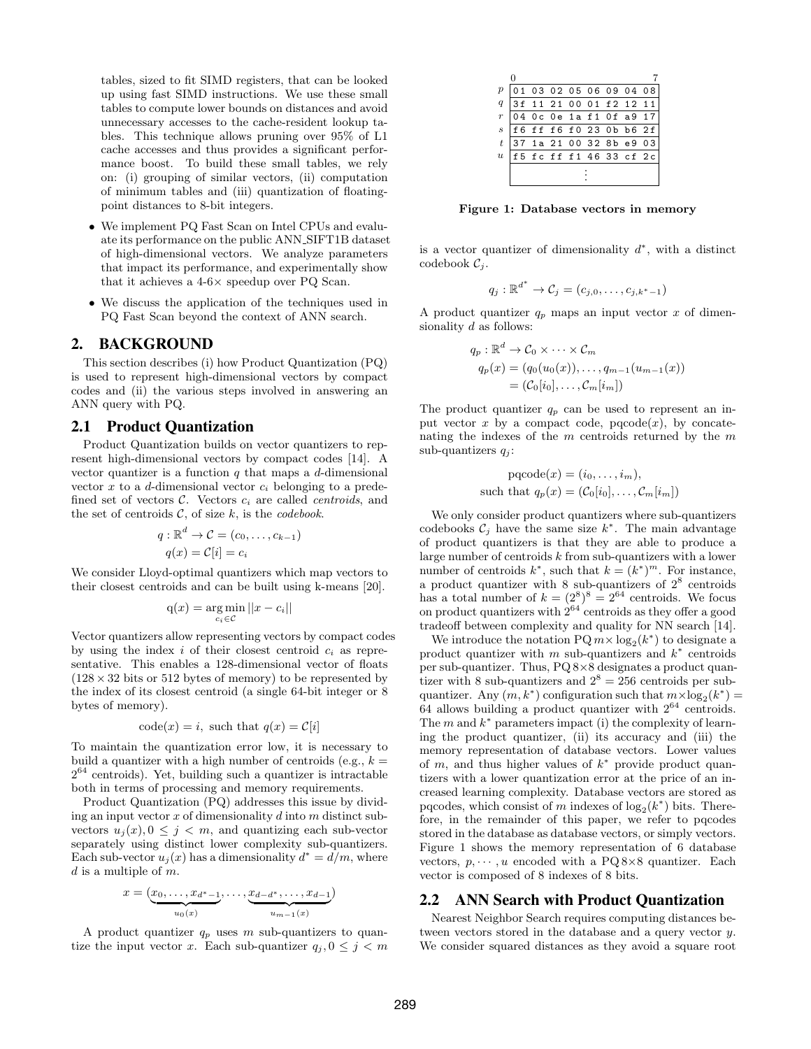tables, sized to fit SIMD registers, that can be looked up using fast SIMD instructions. We use these small tables to compute lower bounds on distances and avoid unnecessary accesses to the cache-resident lookup tables. This technique allows pruning over 95% of L1 cache accesses and thus provides a significant performance boost. To build these small tables, we rely on: (i) grouping of similar vectors, (ii) computation of minimum tables and (iii) quantization of floatingpoint distances to 8-bit integers.

- We implement PQ Fast Scan on Intel CPUs and evaluate its performance on the public ANN SIFT1B dataset of high-dimensional vectors. We analyze parameters that impact its performance, and experimentally show that it achieves a 4-6× speedup over PQ Scan.
- We discuss the application of the techniques used in PQ Fast Scan beyond the context of ANN search.

# 2. BACKGROUND

This section describes (i) how Product Quantization (PQ) is used to represent high-dimensional vectors by compact codes and (ii) the various steps involved in answering an ANN query with PQ.

#### 2.1 Product Quantization

Product Quantization builds on vector quantizers to represent high-dimensional vectors by compact codes [\[14\]](#page-11-4). A vector quantizer is a function  $q$  that maps a  $d$ -dimensional vector  $x$  to a  $d$ -dimensional vector  $c_i$  belonging to a predefined set of vectors  $\mathcal{C}$ . Vectors  $c_i$  are called *centroids*, and the set of centroids  $C$ , of size k, is the *codebook*.

$$
q: \mathbb{R}^d \to \mathcal{C} = (c_0, \dots, c_{k-1})
$$

$$
q(x) = \mathcal{C}[i] = c_i
$$

We consider Lloyd-optimal quantizers which map vectors to their closest centroids and can be built using k-means [\[20\]](#page-11-6).

$$
q(x) = \underset{c_i \in \mathcal{C}}{\arg \min} ||x - c_i||
$$

Vector quantizers allow representing vectors by compact codes by using the index i of their closest centroid  $c_i$  as representative. This enables a 128-dimensional vector of floats  $(128 \times 32 \text{ bits or } 512 \text{ bytes of memory})$  to be represented by the index of its closest centroid (a single 64-bit integer or 8 bytes of memory).

$$
code(x) = i, such that q(x) = \mathcal{C}[i]
$$

To maintain the quantization error low, it is necessary to build a quantizer with a high number of centroids (e.g.,  $k =$ 2 <sup>64</sup> centroids). Yet, building such a quantizer is intractable both in terms of processing and memory requirements.

Product Quantization (PQ) addresses this issue by dividing an input vector  $x$  of dimensionality  $d$  into  $m$  distinct subvectors  $u_j(x)$ ,  $0 \leq j \leq m$ , and quantizing each sub-vector separately using distinct lower complexity sub-quantizers. Each sub-vector  $u_j(x)$  has a dimensionality  $d^* = d/m$ , where  $d$  is a multiple of  $m$ .

$$
x = (x_0, \ldots, x_{d^* - 1}, \ldots, x_{d - d^*}, \ldots, x_{d - 1})
$$
  

$$
u_0(x)
$$

A product quantizer  $q_p$  uses m sub-quantizers to quantize the input vector x. Each sub-quantizer  $q_j, 0 \leq j < m$ 

| $\overline{p}$   |  |  |  |  |  |  |                         | 01 03 02 05 06 09 04 08                |  |
|------------------|--|--|--|--|--|--|-------------------------|----------------------------------------|--|
| q                |  |  |  |  |  |  | 3f 11 21 00 01 f2 12 11 |                                        |  |
| $\boldsymbol{r}$ |  |  |  |  |  |  | 04 Oc 0e 1a f1 Of a9 17 |                                        |  |
| $\overline{s}$   |  |  |  |  |  |  |                         | $ f6\;f f\;f 6\;f 0\;23\;0 b\;b6\;2f $ |  |
| $\overline{t}$   |  |  |  |  |  |  |                         | 37 1a 21 00 32 8b e9 03                |  |
| $\boldsymbol{u}$ |  |  |  |  |  |  |                         | f5 fc ff f1 46 33 cf 2c                |  |
|                  |  |  |  |  |  |  |                         |                                        |  |

<span id="page-1-0"></span>Figure 1: Database vectors in memory

is a vector quantizer of dimensionality  $d^*$ , with a distinct codebook  $\mathcal{C}_i$ .

$$
q_j: \mathbb{R}^{d^*} \to \mathcal{C}_j = (c_{j,0},\ldots,c_{j,k^*-1})
$$

A product quantizer  $q_p$  maps an input vector x of dimensionality  $d$  as follows:

$$
q_p: \mathbb{R}^d \to \mathcal{C}_0 \times \cdots \times \mathcal{C}_m
$$
  
\n
$$
q_p(x) = (q_0(u_0(x)), \ldots, q_{m-1}(u_{m-1}(x)))
$$
  
\n
$$
= (\mathcal{C}_0[i_0], \ldots, \mathcal{C}_m[i_m])
$$

The product quantizer  $q_p$  can be used to represent an input vector x by a compact code,  $pqcode(x)$ , by concatenating the indexes of the  $m$  centroids returned by the  $m$ sub-quantizers  $q_i$ :

$$
pqcode(x) = (i_0, \dots, i_m),
$$
  
such that  $q_p(x) = (C_0[i_0], \dots, C_m[i_m])$ 

We only consider product quantizers where sub-quantizers codebooks  $C_j$  have the same size  $k^*$ . The main advantage of product quantizers is that they are able to produce a large number of centroids k from sub-quantizers with a lower number of centroids  $k^*$ , such that  $k = (k^*)^m$ . For instance, a product quantizer with 8 sub-quantizers of  $2^8$  centroids has a total number of  $k = (2^8)^8 = 2^{64}$  centroids. We focus on product quantizers with  $2^{64}$  centroids as they offer a good tradeoff between complexity and quality for NN search [\[14\]](#page-11-4).

We introduce the notation  $PQ m \times log_2(k^*)$  to designate a product quantizer with m sub-quantizers and  $k^*$  centroids per sub-quantizer. Thus, PQ 8×8 designates a product quantizer with 8 sub-quantizers and  $2^8 = 256$  centroids per subquantizer. Any  $(m, k^*)$  configuration such that  $m \times \log_2(k^*) =$ 64 allows building a product quantizer with 2<sup>64</sup> centroids. The  $m$  and  $k^*$  parameters impact (i) the complexity of learning the product quantizer, (ii) its accuracy and (iii) the memory representation of database vectors. Lower values of  $m$ , and thus higher values of  $k^*$  provide product quantizers with a lower quantization error at the price of an increased learning complexity. Database vectors are stored as pqcodes, which consist of m indexes of  $log_2(k^*)$  bits. Therefore, in the remainder of this paper, we refer to pqcodes stored in the database as database vectors, or simply vectors. Figure [1](#page-1-0) shows the memory representation of 6 database vectors,  $p, \dots, u$  encoded with a PQ 8×8 quantizer. Each vector is composed of 8 indexes of 8 bits.

#### <span id="page-1-1"></span>2.2 ANN Search with Product Quantization

Nearest Neighbor Search requires computing distances between vectors stored in the database and a query vector y. We consider squared distances as they avoid a square root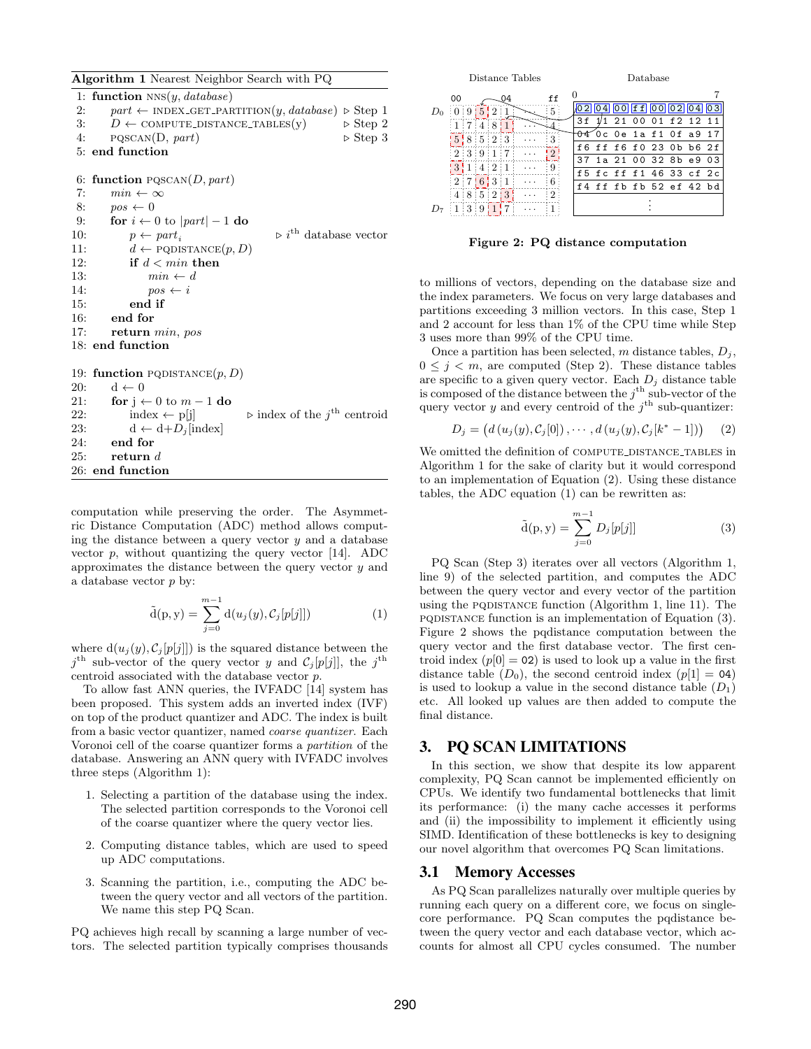<span id="page-2-0"></span>Algorithm 1 Nearest Neighbor Search with PQ

1: function  $NNS(y, database)$ 2: part ← INDEX\_GET\_PARTITION $(y, database) \triangleright$  Step 1<br>3:  $D \leftarrow$  COMPUTE\_DISTANCE\_TABLES $(y) \rightarrow$  Step 2 3:  $D \leftarrow \text{COMPUTE-DISTANCE\_TABLES}(y)$   $\triangleright$  Step 2<br>4: PQSCAN(D, part)  $\triangleright$  Step 3  $PQSCAN(D, part)$ 5: end function

6: function  $PQSCAN(D, part)$ 

7:  $min \leftarrow \infty$ <br>8:  $pos \leftarrow 0$ 8:  $pos \leftarrow 0$ <br>9: for  $i \leftarrow 0$ 9: **for**  $i \leftarrow 0$  to  $|part| - 1$  **do**<br>10:  $p \leftarrow part$ 10:  $p \leftarrow part_i$   $\triangleright i^{\text{th}}$  database vector<br>11:  $d \leftarrow \text{PODISTANCE}(p, D)$ 11:  $d \leftarrow \text{PODISTANCE}(p, D)$ <br>12: **if**  $d < min$  **then** if  $d < min$  then 13:  $min \leftarrow d$ <br>14:  $pos \leftarrow i$ 14:  $pos \leftarrow i$ <br>15: **end if** end if 16: end for 17: return min, pos 18: end function 19: function PQDISTANCE $(p, D)$ 20:  $d \leftarrow 0$ <br>21: for j 21: **for**  $j \leftarrow 0$  to  $m - 1$  **do**<br>22: **index**  $\leftarrow$  p[j] 22: index  $\leftarrow$  p[j]  $\qquad \qquad$  index of the j<sup>th</sup> centroid 23: d ← d+ $D_j$ [index]<br>24: **end for** end for 25: return d 26: end function

computation while preserving the order. The Asymmetric Distance Computation (ADC) method allows computing the distance between a query vector  $y$  and a database vector  $p$ , without quantizing the query vector [\[14\]](#page-11-4). ADC approximates the distance between the query vector  $y$  and a database vector p by:

<span id="page-2-2"></span>
$$
\tilde{d}(p, y) = \sum_{j=0}^{m-1} d(u_j(y), C_j[p[j]])
$$
\n(1)

where  $d(u_j(y), C_j[p[j]])$  is the squared distance between the  $j^{\text{th}}$  sub-vector of the query vector y and  $C_j[p[j]]$ , the  $j^{\text{th}}$ centroid associated with the database vector p.

To allow fast ANN queries, the IVFADC [\[14\]](#page-11-4) system has been proposed. This system adds an inverted index (IVF) on top of the product quantizer and ADC. The index is built from a basic vector quantizer, named coarse quantizer. Each Voronoi cell of the coarse quantizer forms a partition of the database. Answering an ANN query with IVFADC involves three steps (Algorithm [1\)](#page-2-0):

- 1. Selecting a partition of the database using the index. The selected partition corresponds to the Voronoi cell of the coarse quantizer where the query vector lies.
- 2. Computing distance tables, which are used to speed up ADC computations.
- 3. Scanning the partition, i.e., computing the ADC between the query vector and all vectors of the partition. We name this step PQ Scan.

PQ achieves high recall by scanning a large number of vectors. The selected partition typically comprises thousands

| Distance Tables                                            | Database                           |    |  |                                        |  |  |  |
|------------------------------------------------------------|------------------------------------|----|--|----------------------------------------|--|--|--|
| 00                                                         |                                    |    |  |                                        |  |  |  |
| 2 <sup>3</sup><br>5.<br>5<br>9                             |                                    | 41 |  | $ 00 $ f f $ 00 $ $ 02 $ $ 04 $ $ 03 $ |  |  |  |
| 17748                                                      | 3 f                                |    |  | 1/1 21 00 01 f 2 1 2 1 1               |  |  |  |
| 5 8 5 2 3                                                  | <del>04</del> Oc Oe 1a f1 Of a9 17 |    |  |                                        |  |  |  |
| $\mid 2 \mid 3 \mid 9 \mid 1 \mid 7 \mid$<br>$\mathcal{D}$ | f6 ff f6 f0 23 0b b6 2f            |    |  |                                        |  |  |  |
| Q<br>$\cdots$                                              | 37 1a 21 00 32 8b e9 03            |    |  |                                        |  |  |  |
| $3 \mid 1 \mid 4 \mid 2 \mid 1$                            | f5 fc ff f1 46 33 cf 2c            |    |  |                                        |  |  |  |
| $12 \mid 7 \mid 6 \mid 3 \mid 1$                           | f4 ff fb fb 52 ef 42 bd            |    |  |                                        |  |  |  |
| 48523                                                      |                                    |    |  |                                        |  |  |  |
| 1:3:9                                                      |                                    |    |  |                                        |  |  |  |

<span id="page-2-4"></span>Figure 2: PQ distance computation

to millions of vectors, depending on the database size and the index parameters. We focus on very large databases and partitions exceeding 3 million vectors. In this case, Step 1 and 2 account for less than 1% of the CPU time while Step 3 uses more than 99% of the CPU time.

Once a partition has been selected, m distance tables,  $D_i$ ,  $0 \leq j \leq m$ , are computed (Step 2). These distance tables are specific to a given query vector. Each  $D_i$  distance table is composed of the distance between the  $j^{\text{th}}$  sub-vector of the query vector y and every centroid of the  $j<sup>th</sup>$  sub-quantizer:

<span id="page-2-1"></span>
$$
D_j = (d(u_j(y), C_j[0]), \cdots, d(u_j(y), C_j[k^*-1])) \qquad (2)
$$

We omitted the definition of COMPUTE DISTANCE TABLES in Algorithm [1](#page-2-0) for the sake of clarity but it would correspond to an implementation of Equation [\(2\)](#page-2-1). Using these distance tables, the ADC equation [\(1\)](#page-2-2) can be rewritten as:

<span id="page-2-3"></span>
$$
\tilde{\mathbf{d}}(\mathbf{p}, \mathbf{y}) = \sum_{j=0}^{m-1} D_j[p[j]] \tag{3}
$$

PQ Scan (Step 3) iterates over all vectors (Algorithm [1,](#page-2-0) line [9\)](#page-2-2) of the selected partition, and computes the ADC between the query vector and every vector of the partition using the PQDISTANCE function (Algorithm [1,](#page-2-0) line [11\)](#page-2-2). The pqdistance function is an implementation of Equation [\(3\)](#page-2-3). Figure [2](#page-2-4) shows the pqdistance computation between the query vector and the first database vector. The first centroid index  $(p[0] = 02)$  is used to look up a value in the first distance table  $(D_0)$ , the second centroid index  $(p|1] = 04$ is used to lookup a value in the second distance table  $(D_1)$ etc. All looked up values are then added to compute the final distance.

#### 3. PQ SCAN LIMITATIONS

In this section, we show that despite its low apparent complexity, PQ Scan cannot be implemented efficiently on CPUs. We identify two fundamental bottlenecks that limit its performance: (i) the many cache accesses it performs and (ii) the impossibility to implement it efficiently using SIMD. Identification of these bottlenecks is key to designing our novel algorithm that overcomes PQ Scan limitations.

## <span id="page-2-5"></span>3.1 Memory Accesses

As PQ Scan parallelizes naturally over multiple queries by running each query on a different core, we focus on singlecore performance. PQ Scan computes the pqdistance between the query vector and each database vector, which accounts for almost all CPU cycles consumed. The number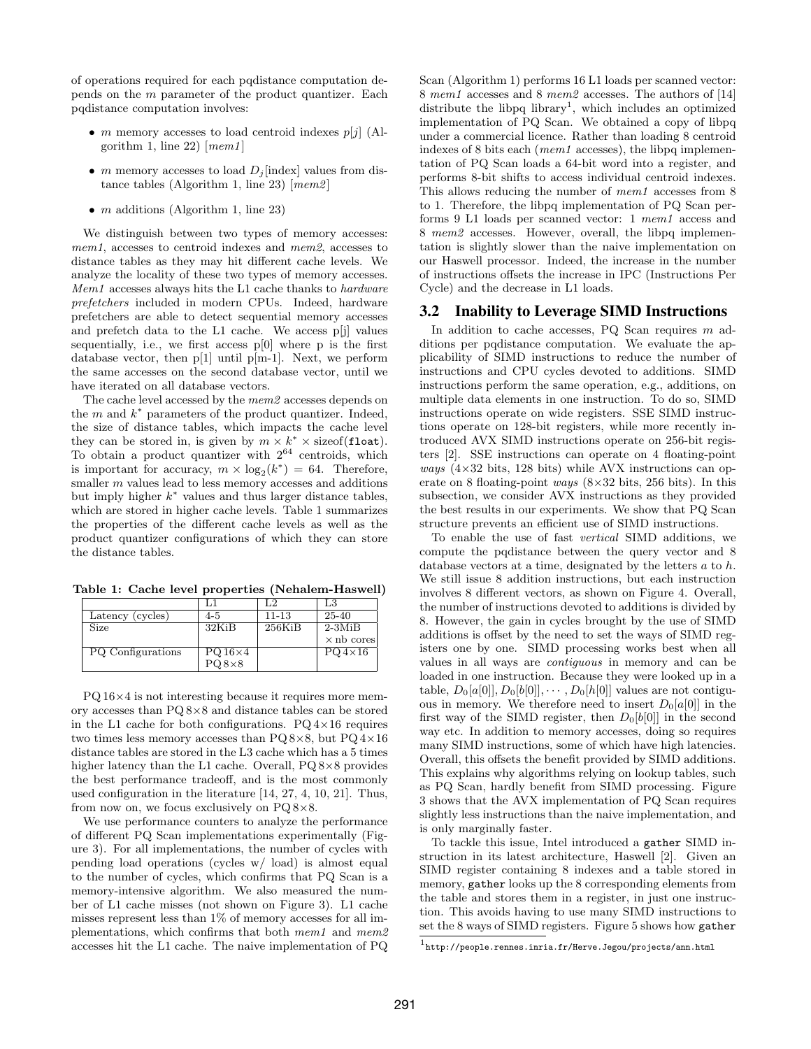of operations required for each pqdistance computation depends on the m parameter of the product quantizer. Each pqdistance computation involves:

- m memory accesses to load centroid indexes  $p[j]$  (Al-gorithm [1,](#page-2-0) line [22\)](#page-2-2)  $[mem1]$
- m memory accesses to load  $D_i$  [index] values from dis-tance tables (Algorithm [1,](#page-2-0) line [23\)](#page-2-2)  $[mem2]$
- $m$  additions (Algorithm [1,](#page-2-0) line [23\)](#page-2-2)

We distinguish between two types of memory accesses: mem1, accesses to centroid indexes and mem2, accesses to distance tables as they may hit different cache levels. We analyze the locality of these two types of memory accesses. Mem1 accesses always hits the L1 cache thanks to hardware prefetchers included in modern CPUs. Indeed, hardware prefetchers are able to detect sequential memory accesses and prefetch data to the L1 cache. We access p[j] values sequentially, i.e., we first access  $p[0]$  where p is the first database vector, then  $p[1]$  until  $p[m-1]$ . Next, we perform the same accesses on the second database vector, until we have iterated on all database vectors.

The cache level accessed by the mem2 accesses depends on the  $m$  and  $k^*$  parameters of the product quantizer. Indeed, the size of distance tables, which impacts the cache level they can be stored in, is given by  $m \times k^* \times \text{sizeof}(\texttt{float}).$ To obtain a product quantizer with  $2^{64}$  centroids, which is important for accuracy,  $m \times \log_2(k^*) = 64$ . Therefore, smaller m values lead to less memory accesses and additions but imply higher  $k^*$  values and thus larger distance tables, which are stored in higher cache levels. Table [1](#page-3-0) summarizes the properties of the different cache levels as well as the product quantizer configurations of which they can store the distance tables.

Table 1: Cache level properties (Nehalem-Haswell)

<span id="page-3-0"></span>

|                          |                | L.2       | L3                |
|--------------------------|----------------|-----------|-------------------|
| Latency (cycles)         | $4 - 5$        | $11 - 13$ | 25-40             |
| Size                     | 32KiB          | $256$ KiB | $2-3MiB$          |
|                          |                |           | $\times$ nb cores |
| <b>PQ</b> Configurations | $PQ16\times 4$ |           | $PQ4\times16$     |
|                          | $PQ8\times8$   |           |                   |

PQ 16×4 is not interesting because it requires more memory accesses than PQ 8×8 and distance tables can be stored in the L1 cache for both configurations.  $PQ \, 4 \times 16$  requires two times less memory accesses than  $PQ 8\times8$ , but  $PQ 4\times16$ distance tables are stored in the L3 cache which has a 5 times higher latency than the L1 cache. Overall, PQ 8×8 provides the best performance tradeoff, and is the most commonly used configuration in the literature [\[14,](#page-11-4) [27,](#page-11-5) [4,](#page-11-7) [10,](#page-11-8) [21\]](#page-11-9). Thus, from now on, we focus exclusively on PQ 8×8.

We use performance counters to analyze the performance of different PQ Scan implementations experimentally (Figure [3\)](#page-4-0). For all implementations, the number of cycles with pending load operations (cycles w/ load) is almost equal to the number of cycles, which confirms that PQ Scan is a memory-intensive algorithm. We also measured the number of L1 cache misses (not shown on Figure [3\)](#page-4-0). L1 cache misses represent less than 1% of memory accesses for all implementations, which confirms that both mem1 and mem2 accesses hit the L1 cache. The naive implementation of PQ

Scan (Algorithm [1\)](#page-2-0) performs 16 L1 loads per scanned vector: 8 mem1 accesses and 8 mem2 accesses. The authors of [\[14\]](#page-11-4) distribute the libpq  $library<sup>1</sup>$  $library<sup>1</sup>$  $library<sup>1</sup>$ , which includes an optimized implementation of PQ Scan. We obtained a copy of libpq under a commercial licence. Rather than loading 8 centroid indexes of 8 bits each (mem1 accesses), the libpq implementation of PQ Scan loads a 64-bit word into a register, and performs 8-bit shifts to access individual centroid indexes. This allows reducing the number of mem1 accesses from 8 to 1. Therefore, the libpq implementation of PQ Scan performs 9 L1 loads per scanned vector: 1 mem1 access and 8 mem2 accesses. However, overall, the libpq implementation is slightly slower than the naive implementation on our Haswell processor. Indeed, the increase in the number of instructions offsets the increase in IPC (Instructions Per Cycle) and the decrease in L1 loads.

#### 3.2 Inability to Leverage SIMD Instructions

In addition to cache accesses,  $PQ$  Scan requires  $m$  additions per pqdistance computation. We evaluate the applicability of SIMD instructions to reduce the number of instructions and CPU cycles devoted to additions. SIMD instructions perform the same operation, e.g., additions, on multiple data elements in one instruction. To do so, SIMD instructions operate on wide registers. SSE SIMD instructions operate on 128-bit registers, while more recently introduced AVX SIMD instructions operate on 256-bit registers [\[2\]](#page-11-10). SSE instructions can operate on 4 floating-point *ways*  $(4\times32 \text{ bits}, 128 \text{ bits})$  while AVX instructions can operate on 8 floating-point *ways*  $(8\times32 \text{ bits}, 256 \text{ bits})$ . In this subsection, we consider AVX instructions as they provided the best results in our experiments. We show that PQ Scan structure prevents an efficient use of SIMD instructions.

To enable the use of fast vertical SIMD additions, we compute the pqdistance between the query vector and 8 database vectors at a time, designated by the letters  $a$  to  $h$ . We still issue 8 addition instructions, but each instruction involves 8 different vectors, as shown on Figure [4.](#page-4-1) Overall, the number of instructions devoted to additions is divided by 8. However, the gain in cycles brought by the use of SIMD additions is offset by the need to set the ways of SIMD registers one by one. SIMD processing works best when all values in all ways are contiguous in memory and can be loaded in one instruction. Because they were looked up in a table,  $D_0[a[0], D_0[b[0]], \cdots, D_0[h[0]]$  values are not contiguous in memory. We therefore need to insert  $D_0[a[0]]$  in the first way of the SIMD register, then  $D_0[b[0]]$  in the second way etc. In addition to memory accesses, doing so requires many SIMD instructions, some of which have high latencies. Overall, this offsets the benefit provided by SIMD additions. This explains why algorithms relying on lookup tables, such as PQ Scan, hardly benefit from SIMD processing. Figure [3](#page-4-0) shows that the AVX implementation of PQ Scan requires slightly less instructions than the naive implementation, and is only marginally faster.

To tackle this issue, Intel introduced a gather SIMD instruction in its latest architecture, Haswell [\[2\]](#page-11-10). Given an SIMD register containing 8 indexes and a table stored in memory, gather looks up the 8 corresponding elements from the table and stores them in a register, in just one instruction. This avoids having to use many SIMD instructions to set the 8 ways of SIMD registers. Figure [5](#page-4-2) shows how gather

<span id="page-3-1"></span> $^{\rm 1}$ <http://people.rennes.inria.fr/Herve.Jegou/projects/ann.html>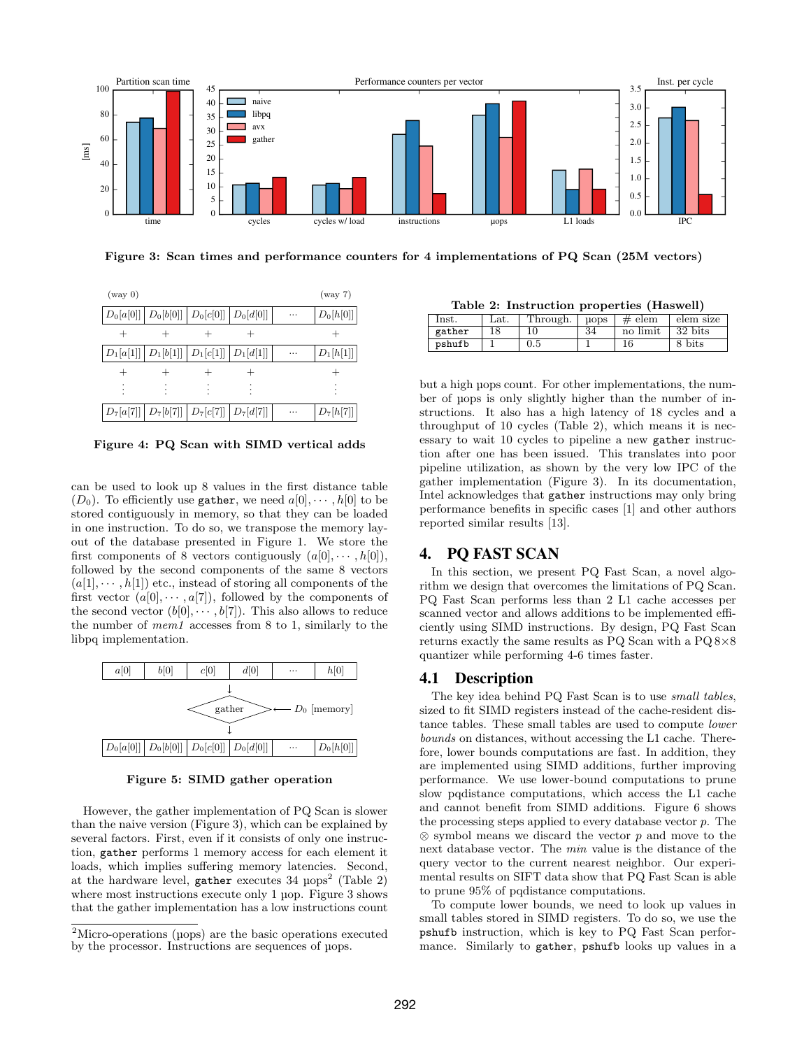

<span id="page-4-0"></span>Figure 3: Scan times and performance counters for 4 implementations of PQ Scan (25M vectors)



<span id="page-4-1"></span>Figure 4: PQ Scan with SIMD vertical adds

can be used to look up 8 values in the first distance table  $(D_0)$ . To efficiently use gather, we need  $a[0], \cdots, h[0]$  to be stored contiguously in memory, so that they can be loaded in one instruction. To do so, we transpose the memory layout of the database presented in Figure [1.](#page-1-0) We store the first components of 8 vectors contiguously  $(a[0], \cdots, h[0]),$ followed by the second components of the same 8 vectors  $(a[1], \dots, h[1])$  etc., instead of storing all components of the first vector  $(a[0], \dots, a[7])$ , followed by the components of the second vector  $(b[0], \dots, b[7])$ . This also allows to reduce the number of mem1 accesses from 8 to 1, similarly to the libpq implementation.



<span id="page-4-2"></span>Figure 5: SIMD gather operation

However, the gather implementation of PQ Scan is slower than the naive version (Figure [3\)](#page-4-0), which can be explained by several factors. First, even if it consists of only one instruction, gather performs 1 memory access for each element it loads, which implies suffering memory latencies. Second, at the hardware level,  $g$ ather executes 34  $\mu$ ops<sup>[2](#page-4-3)</sup> (Table [2\)](#page-4-4) where most instructions execute only 1 µop. Figure [3](#page-4-0) shows that the gather implementation has a low instructions count

<span id="page-4-4"></span>Table 2: Instruction properties (Haswell)

| lnst.  | Lat. | Through. | uops | $#$ elem | elem size |
|--------|------|----------|------|----------|-----------|
| gather |      |          | 34   | no limit | 32 bits   |
| pshufb |      | $0.5\,$  |      |          | 8 bits    |

but a high µops count. For other implementations, the number of µops is only slightly higher than the number of instructions. It also has a high latency of 18 cycles and a throughput of 10 cycles (Table [2\)](#page-4-4), which means it is necessary to wait 10 cycles to pipeline a new gather instruction after one has been issued. This translates into poor pipeline utilization, as shown by the very low IPC of the gather implementation (Figure [3\)](#page-4-0). In its documentation, Intel acknowledges that gather instructions may only bring performance benefits in specific cases [\[1\]](#page-11-11) and other authors reported similar results [\[13\]](#page-11-12).

# 4. PQ FAST SCAN

In this section, we present PQ Fast Scan, a novel algorithm we design that overcomes the limitations of PQ Scan. PQ Fast Scan performs less than 2 L1 cache accesses per scanned vector and allows additions to be implemented efficiently using SIMD instructions. By design, PQ Fast Scan returns exactly the same results as PQ Scan with a PQ 8×8 quantizer while performing 4-6 times faster.

## 4.1 Description

The key idea behind PQ Fast Scan is to use small tables, sized to fit SIMD registers instead of the cache-resident distance tables. These small tables are used to compute lower bounds on distances, without accessing the L1 cache. Therefore, lower bounds computations are fast. In addition, they are implemented using SIMD additions, further improving performance. We use lower-bound computations to prune slow pqdistance computations, which access the L1 cache and cannot benefit from SIMD additions. Figure [6](#page-5-0) shows the processing steps applied to every database vector p. The  $\otimes$  symbol means we discard the vector p and move to the next database vector. The min value is the distance of the query vector to the current nearest neighbor. Our experimental results on SIFT data show that PQ Fast Scan is able to prune 95% of pqdistance computations.

To compute lower bounds, we need to look up values in small tables stored in SIMD registers. To do so, we use the pshufb instruction, which is key to PQ Fast Scan performance. Similarly to gather, pshufb looks up values in a

<span id="page-4-3"></span><sup>&</sup>lt;sup>2</sup>Micro-operations (uops) are the basic operations executed by the processor. Instructions are sequences of µops.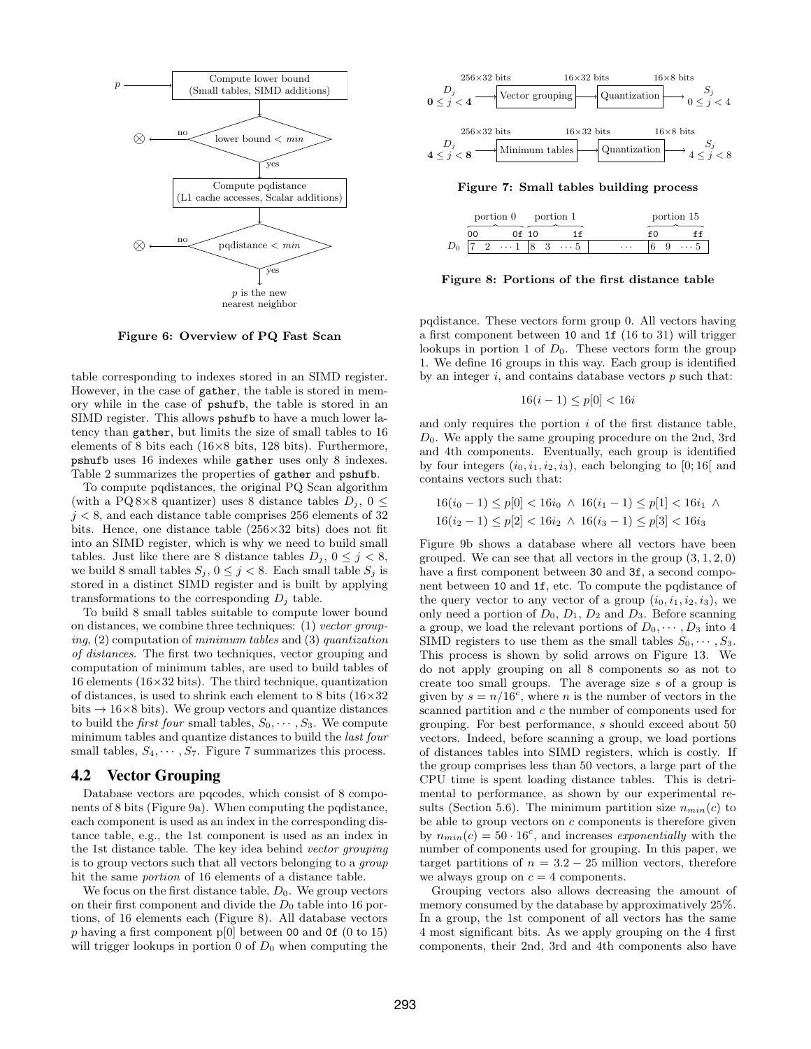

<span id="page-5-0"></span>Figure 6: Overview of PQ Fast Scan

table corresponding to indexes stored in an SIMD register. However, in the case of gather, the table is stored in memory while in the case of pshufb, the table is stored in an SIMD register. This allows pshufb to have a much lower latency than gather, but limits the size of small tables to 16 elements of 8 bits each  $(16\times8)$  bits, 128 bits). Furthermore, pshufb uses 16 indexes while gather uses only 8 indexes. Table [2](#page-4-4) summarizes the properties of gather and pshufb.

To compute pqdistances, the original PQ Scan algorithm (with a PQ 8×8 quantizer) uses 8 distance tables  $D_j$ ,  $0 \leq$  $j < 8$ , and each distance table comprises 256 elements of 32 bits. Hence, one distance table  $(256\times32)$  bits) does not fit into an SIMD register, which is why we need to build small tables. Just like there are 8 distance tables  $D_j$ ,  $0 \leq j \leq 8$ , we build 8 small tables  $S_j$ ,  $0 \leq j < 8$ . Each small table  $S_j$  is stored in a distinct SIMD register and is built by applying transformations to the corresponding  $D_i$  table.

To build 8 small tables suitable to compute lower bound on distances, we combine three techniques: (1) vector grouping, (2) computation of minimum tables and (3) quantization of distances. The first two techniques, vector grouping and computation of minimum tables, are used to build tables of 16 elements ( $16 \times 32$  bits). The third technique, quantization of distances, is used to shrink each element to 8 bits  $(16\times32)$ bits  $\rightarrow$  16×8 bits). We group vectors and quantize distances to build the *first four* small tables,  $S_0, \dots, S_3$ . We compute minimum tables and quantize distances to build the last four small tables,  $S_4, \cdots, S_7$ . Figure [7](#page-5-1) summarizes this process.

#### <span id="page-5-3"></span>4.2 Vector Grouping

Database vectors are pqcodes, which consist of 8 components of 8 bits (Figure [9a\)](#page-6-0). When computing the pqdistance, each component is used as an index in the corresponding distance table, e.g., the 1st component is used as an index in the 1st distance table. The key idea behind vector grouping is to group vectors such that all vectors belonging to a group hit the same portion of 16 elements of a distance table.

We focus on the first distance table,  $D_0$ . We group vectors on their first component and divide the  $D_0$  table into 16 portions, of 16 elements each (Figure [8\)](#page-5-2). All database vectors p having a first component p[0] between 00 and 0f (0 to 15) will trigger lookups in portion  $0$  of  $D_0$  when computing the



<span id="page-5-1"></span>Figure 7: Small tables building process

| portion 0 portion 1 |  |            |  |  |            |   | portion 15 |     |  |
|---------------------|--|------------|--|--|------------|---|------------|-----|--|
| OΟ                  |  | 0 f 10     |  |  |            |   |            |     |  |
|                     |  | $\cdots$ 1 |  |  | $\cdots 5$ | . |            | . h |  |

<span id="page-5-2"></span>Figure 8: Portions of the first distance table

pqdistance. These vectors form group 0. All vectors having a first component between 10 and 1f (16 to 31) will trigger lookups in portion 1 of  $D_0$ . These vectors form the group 1. We define 16 groups in this way. Each group is identified by an integer  $i$ , and contains database vectors  $p$  such that:

$$
16(i - 1) \le p[0] < 16i
$$

and only requires the portion  $i$  of the first distance table,  $D_0$ . We apply the same grouping procedure on the 2nd, 3rd and 4th components. Eventually, each group is identified by four integers  $(i_0, i_1, i_2, i_3)$ , each belonging to [0; 16] and contains vectors such that:

$$
16(i0 - 1) \le p[0] < 16i0 \land 16(i1 - 1) \le p[1] < 16i1 \land
$$
\n
$$
16(i2 - 1) \le p[2] < 16i2 \land 16(i3 - 1) \le p[3] < 16i3
$$

Figure [9b](#page-6-1) shows a database where all vectors have been grouped. We can see that all vectors in the group  $(3, 1, 2, 0)$ have a first component between 30 and 3f, a second component between 10 and 1f, etc. To compute the pqdistance of the query vector to any vector of a group  $(i_0, i_1, i_2, i_3)$ , we only need a portion of  $D_0$ ,  $D_1$ ,  $D_2$  and  $D_3$ . Before scanning a group, we load the relevant portions of  $D_0, \dots, D_3$  into 4 SIMD registers to use them as the small tables  $S_0, \dots, S_3$ . This process is shown by solid arrows on Figure [13.](#page-7-0) We do not apply grouping on all 8 components so as not to create too small groups. The average size s of a group is given by  $s = n/16^c$ , where *n* is the number of vectors in the scanned partition and c the number of components used for grouping. For best performance, s should exceed about 50 vectors. Indeed, before scanning a group, we load portions of distances tables into SIMD registers, which is costly. If the group comprises less than 50 vectors, a large part of the CPU time is spent loading distance tables. This is detrimental to performance, as shown by our experimental re-sults (Section [5.6\)](#page-9-0). The minimum partition size  $n_{min}(c)$  to be able to group vectors on c components is therefore given by  $n_{min}(c) = 50 \cdot 16^c$ , and increases exponentially with the number of components used for grouping. In this paper, we target partitions of  $n = 3.2 - 25$  million vectors, therefore we always group on  $c = 4$  components.

Grouping vectors also allows decreasing the amount of memory consumed by the database by approximatively 25%. In a group, the 1st component of all vectors has the same 4 most significant bits. As we apply grouping on the 4 first components, their 2nd, 3rd and 4th components also have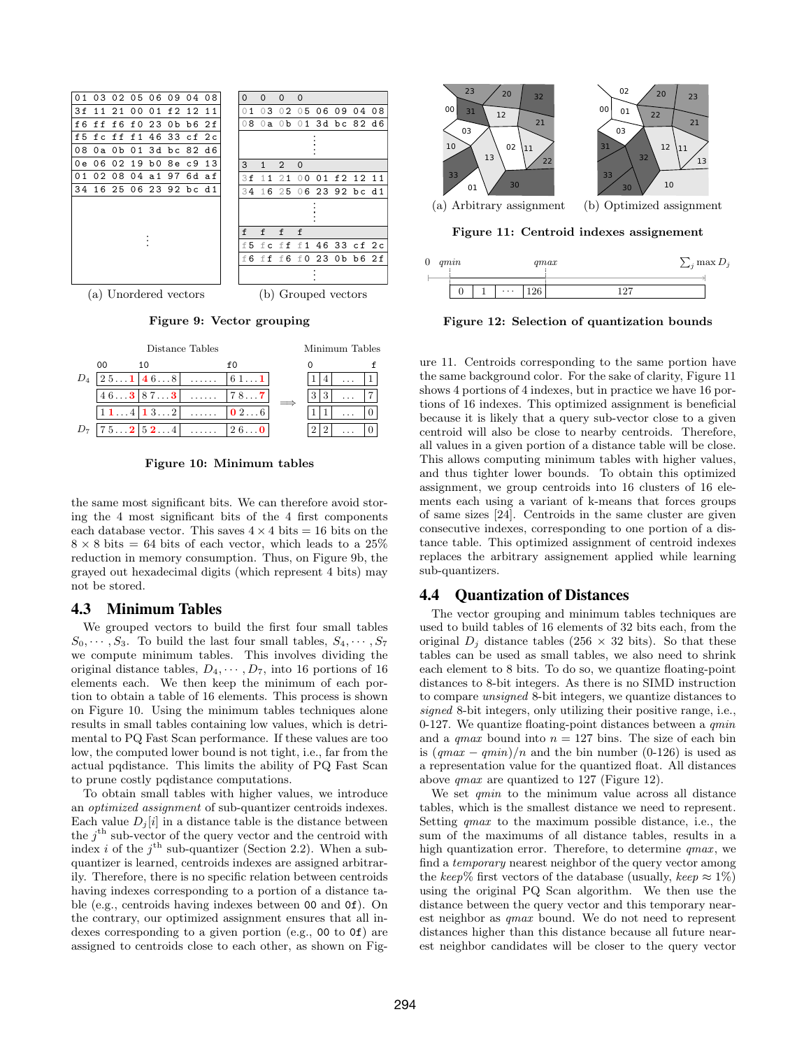<span id="page-6-0"></span>

<span id="page-6-1"></span>Figure 9: Vector grouping



<span id="page-6-2"></span>Figure 10: Minimum tables

the same most significant bits. We can therefore avoid storing the 4 most significant bits of the 4 first components each database vector. This saves  $4 \times 4$  bits = 16 bits on the  $8 \times 8$  bits = 64 bits of each vector, which leads to a 25% reduction in memory consumption. Thus, on Figure [9b,](#page-6-1) the grayed out hexadecimal digits (which represent 4 bits) may not be stored.

## 4.3 Minimum Tables

We grouped vectors to build the first four small tables  $S_0, \dots, S_3$ . To build the last four small tables,  $S_4, \dots, S_7$ we compute minimum tables. This involves dividing the original distance tables,  $D_4, \cdots, D_7$ , into 16 portions of 16 elements each. We then keep the minimum of each portion to obtain a table of 16 elements. This process is shown on Figure [10.](#page-6-2) Using the minimum tables techniques alone results in small tables containing low values, which is detrimental to PQ Fast Scan performance. If these values are too low, the computed lower bound is not tight, i.e., far from the actual pqdistance. This limits the ability of PQ Fast Scan to prune costly pqdistance computations.

To obtain small tables with higher values, we introduce an optimized assignment of sub-quantizer centroids indexes. Each value  $D_i[i]$  in a distance table is the distance between the  $j^{\text{th}}$  sub-vector of the query vector and the centroid with index *i* of the  $j^{\text{th}}$  sub-quantizer (Section [2.2\)](#page-1-1). When a subquantizer is learned, centroids indexes are assigned arbitrarily. Therefore, there is no specific relation between centroids having indexes corresponding to a portion of a distance table (e.g., centroids having indexes between 00 and 0f). On the contrary, our optimized assignment ensures that all indexes corresponding to a given portion (e.g., 00 to 0f) are assigned to centroids close to each other, as shown on Fig-



<span id="page-6-3"></span>

<span id="page-6-4"></span>Figure 12: Selection of quantization bounds

ure [11.](#page-6-3) Centroids corresponding to the same portion have the same background color. For the sake of clarity, Figure [11](#page-6-3) shows 4 portions of 4 indexes, but in practice we have 16 portions of 16 indexes. This optimized assignment is beneficial because it is likely that a query sub-vector close to a given centroid will also be close to nearby centroids. Therefore, all values in a given portion of a distance table will be close. This allows computing minimum tables with higher values, and thus tighter lower bounds. To obtain this optimized assignment, we group centroids into 16 clusters of 16 elements each using a variant of k-means that forces groups of same sizes [\[24\]](#page-11-13). Centroids in the same cluster are given consecutive indexes, corresponding to one portion of a distance table. This optimized assignment of centroid indexes replaces the arbitrary assignement applied while learning sub-quantizers.

# <span id="page-6-5"></span>4.4 Quantization of Distances

The vector grouping and minimum tables techniques are used to build tables of 16 elements of 32 bits each, from the original  $D_j$  distance tables (256  $\times$  32 bits). So that these tables can be used as small tables, we also need to shrink each element to 8 bits. To do so, we quantize floating-point distances to 8-bit integers. As there is no SIMD instruction to compare unsigned 8-bit integers, we quantize distances to signed 8-bit integers, only utilizing their positive range, i.e., 0-127. We quantize floating-point distances between a  $qmin$ and a *qmax* bound into  $n = 127$  bins. The size of each bin is  $(qmax - qmin)/n$  and the bin number (0-126) is used as a representation value for the quantized float. All distances above qmax are quantized to 127 (Figure [12\)](#page-6-4).

We set *qmin* to the minimum value across all distance tables, which is the smallest distance we need to represent. Setting qmax to the maximum possible distance, i.e., the sum of the maximums of all distance tables, results in a high quantization error. Therefore, to determine  $qmax$ , we find a temporary nearest neighbor of the query vector among the keep% first vectors of the database (usually, keep  $\approx 1\%$ ) using the original PQ Scan algorithm. We then use the distance between the query vector and this temporary nearest neighbor as qmax bound. We do not need to represent distances higher than this distance because all future nearest neighbor candidates will be closer to the query vector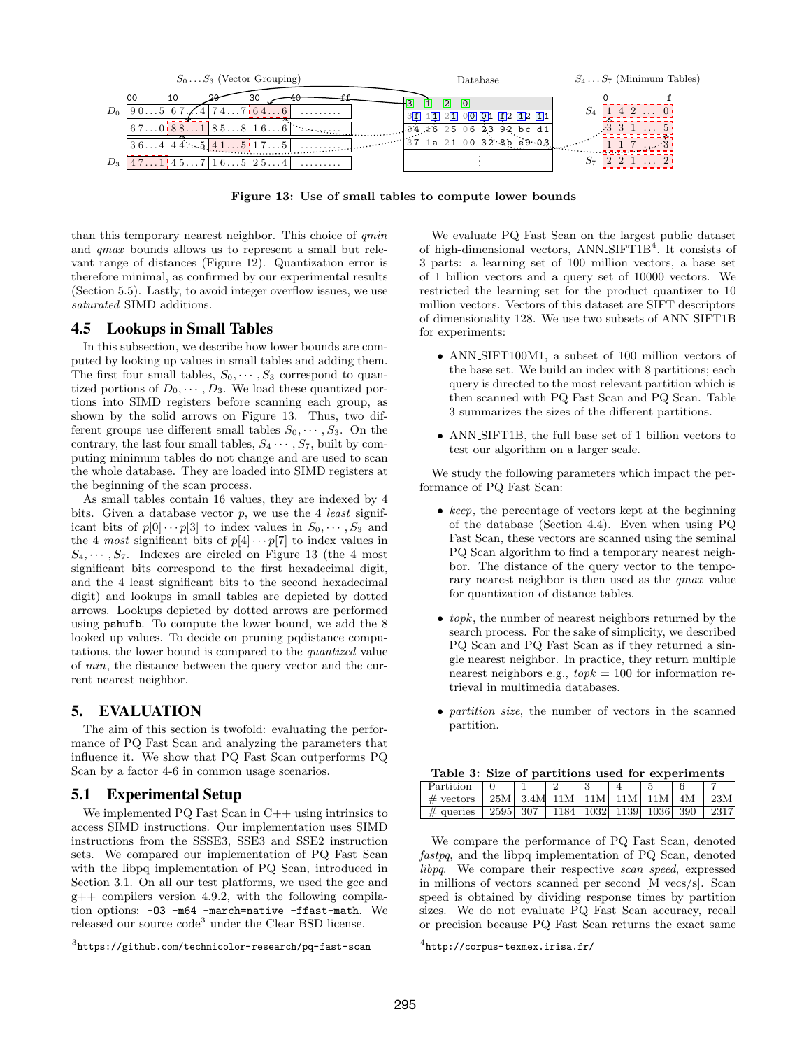

<span id="page-7-0"></span>Figure 13: Use of small tables to compute lower bounds

than this temporary nearest neighbor. This choice of qmin and qmax bounds allows us to represent a small but relevant range of distances (Figure [12\)](#page-6-4). Quantization error is therefore minimal, as confirmed by our experimental results (Section [5.5\)](#page-8-0). Lastly, to avoid integer overflow issues, we use saturated SIMD additions.

## 4.5 Lookups in Small Tables

In this subsection, we describe how lower bounds are computed by looking up values in small tables and adding them. The first four small tables,  $S_0, \dots, S_3$  correspond to quantized portions of  $D_0, \cdots, D_3$ . We load these quantized portions into SIMD registers before scanning each group, as shown by the solid arrows on Figure [13.](#page-7-0) Thus, two different groups use different small tables  $S_0, \dots, S_3$ . On the contrary, the last four small tables,  $S_4 \cdots, S_7$ , built by computing minimum tables do not change and are used to scan the whole database. They are loaded into SIMD registers at the beginning of the scan process.

As small tables contain 16 values, they are indexed by 4 bits. Given a database vector  $p$ , we use the 4 *least* significant bits of  $p[0] \cdots p[3]$  to index values in  $S_0, \cdots, S_3$  and the 4 most significant bits of  $p[4] \cdots p[7]$  to index values in  $S_4, \dots, S_7$ . Indexes are circled on Figure [13](#page-7-0) (the 4 most significant bits correspond to the first hexadecimal digit, and the 4 least significant bits to the second hexadecimal digit) and lookups in small tables are depicted by dotted arrows. Lookups depicted by dotted arrows are performed using pshufb. To compute the lower bound, we add the 8 looked up values. To decide on pruning pqdistance computations, the lower bound is compared to the quantized value of min, the distance between the query vector and the current nearest neighbor.

## 5. EVALUATION

The aim of this section is twofold: evaluating the performance of PQ Fast Scan and analyzing the parameters that influence it. We show that PQ Fast Scan outperforms PQ Scan by a factor 4-6 in common usage scenarios.

# 5.1 Experimental Setup

We implemented  $PQ$  Fast Scan in  $C++$  using intrinsics to access SIMD instructions. Our implementation uses SIMD instructions from the SSSE3, SSE3 and SSE2 instruction sets. We compared our implementation of PQ Fast Scan with the libpq implementation of PQ Scan, introduced in Section [3.1.](#page-2-5) On all our test platforms, we used the gcc and g++ compilers version 4.9.2, with the following compilation options: -O3 -m64 -march=native -ffast-math. We released our source code<sup>[3](#page-7-1)</sup> under the Clear BSD license.

We evaluate PQ Fast Scan on the largest public dataset of high-dimensional vectors, ANN\_SIFT1B<sup>[4](#page-7-2)</sup>. It consists of 3 parts: a learning set of 100 million vectors, a base set of 1 billion vectors and a query set of 10000 vectors. We restricted the learning set for the product quantizer to 10 million vectors. Vectors of this dataset are SIFT descriptors of dimensionality 128. We use two subsets of ANN SIFT1B for experiments:

- ANN SIFT100M1, a subset of 100 million vectors of the base set. We build an index with 8 partitions; each query is directed to the most relevant partition which is then scanned with PQ Fast Scan and PQ Scan. Table [3](#page-7-3) summarizes the sizes of the different partitions.
- ANN SIFT1B, the full base set of 1 billion vectors to test our algorithm on a larger scale.

We study the following parameters which impact the performance of PQ Fast Scan:

- keep, the percentage of vectors kept at the beginning of the database (Section [4.4\)](#page-6-5). Even when using PQ Fast Scan, these vectors are scanned using the seminal PQ Scan algorithm to find a temporary nearest neighbor. The distance of the query vector to the temporary nearest neighbor is then used as the *qmax* value for quantization of distance tables.
- $\bullet$  topk, the number of nearest neighbors returned by the search process. For the sake of simplicity, we described PQ Scan and PQ Fast Scan as if they returned a single nearest neighbor. In practice, they return multiple nearest neighbors e.g.,  $topk = 100$  for information retrieval in multimedia databases.
- *partition size*, the number of vectors in the scanned partition.

<span id="page-7-3"></span>

|  |  | Table 3: Size of partitions used for experiments |
|--|--|--------------------------------------------------|
|  |  |                                                  |

| Partition    |          |  |                             |  |      |
|--------------|----------|--|-----------------------------|--|------|
| $\#$ vectors |          |  | 25M 3.4M 11M 11M 11M 11M 4M |  | 23M  |
| $\#$ queries | 2595 307 |  | 1184  1032  1139  1036  390 |  | 2317 |

We compare the performance of PQ Fast Scan, denoted fastpq, and the libpq implementation of PQ Scan, denoted libpq. We compare their respective scan speed, expressed in millions of vectors scanned per second [M vecs/s]. Scan speed is obtained by dividing response times by partition sizes. We do not evaluate PQ Fast Scan accuracy, recall or precision because PQ Fast Scan returns the exact same

<span id="page-7-1"></span> $^3$ <https://github.com/technicolor-research/pq-fast-scan>

<span id="page-7-2"></span> $^4$ <http://corpus-texmex.irisa.fr/>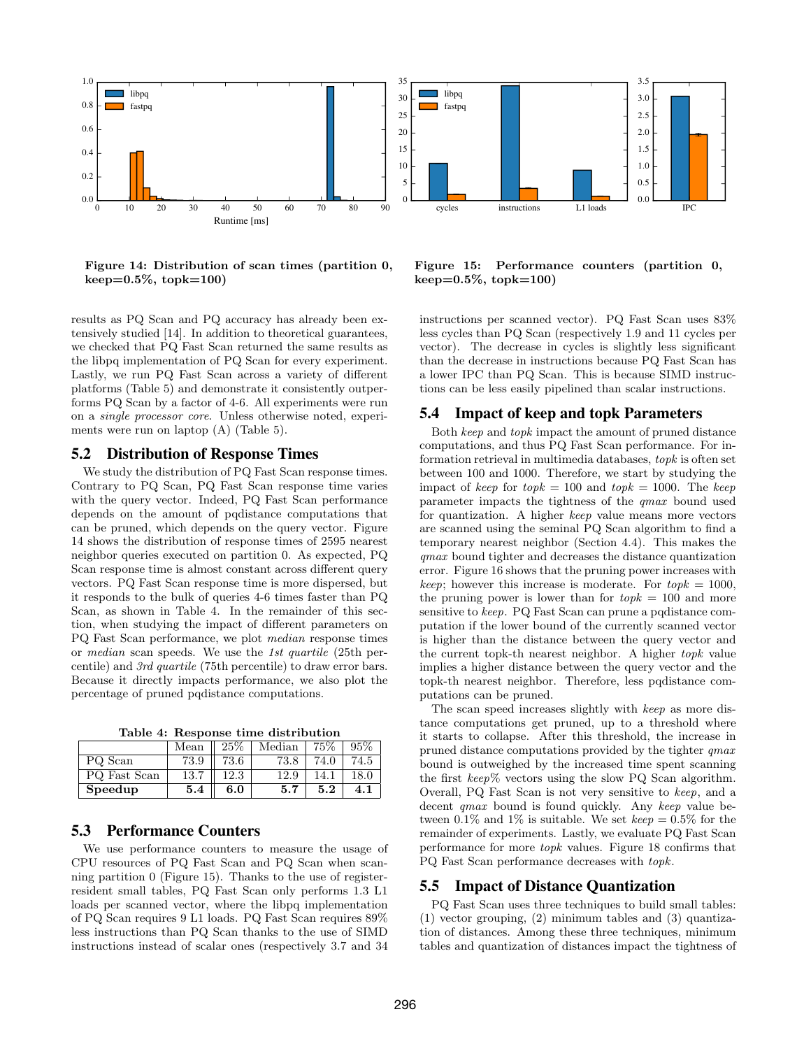

<span id="page-8-1"></span>Figure 14: Distribution of scan times (partition 0,  $keep=0.5\%, topk=100)$ 

results as PQ Scan and PQ accuracy has already been extensively studied [\[14\]](#page-11-4). In addition to theoretical guarantees, we checked that PQ Fast Scan returned the same results as the libpq implementation of PQ Scan for every experiment. Lastly, we run PQ Fast Scan across a variety of different platforms (Table [5\)](#page-9-1) and demonstrate it consistently outperforms PQ Scan by a factor of 4-6. All experiments were run on a single processor core. Unless otherwise noted, experiments were run on laptop (A) (Table [5\)](#page-9-1).

#### 5.2 Distribution of Response Times

We study the distribution of PQ Fast Scan response times. Contrary to PQ Scan, PQ Fast Scan response time varies with the query vector. Indeed, PQ Fast Scan performance depends on the amount of pqdistance computations that can be pruned, which depends on the query vector. Figure [14](#page-8-1) shows the distribution of response times of 2595 nearest neighbor queries executed on partition 0. As expected, PQ Scan response time is almost constant across different query vectors. PQ Fast Scan response time is more dispersed, but it responds to the bulk of queries 4-6 times faster than PQ Scan, as shown in Table [4.](#page-8-2) In the remainder of this section, when studying the impact of different parameters on PQ Fast Scan performance, we plot median response times or median scan speeds. We use the 1st quartile (25th percentile) and 3rd quartile (75th percentile) to draw error bars. Because it directly impacts performance, we also plot the percentage of pruned pqdistance computations.

<span id="page-8-2"></span>Table 4: Response time distribution

|              | Mean | $\parallel 25\%$ | Median | 75%  | 95%  |
|--------------|------|------------------|--------|------|------|
| PQ Scan      | 73.9 | 73.6             | 73.8   | 74.0 | 74.5 |
| PQ Fast Scan | 13.7 | 12.3             | 12.9   | 14.1 | 18.0 |
| Speedup      | 5.4  | 6.0              | 5.7    | 5.2  | 4.1  |

# 5.3 Performance Counters

We use performance counters to measure the usage of CPU resources of PQ Fast Scan and PQ Scan when scanning partition 0 (Figure [15\)](#page-8-3). Thanks to the use of registerresident small tables, PQ Fast Scan only performs 1.3 L1 loads per scanned vector, where the libpq implementation of PQ Scan requires 9 L1 loads. PQ Fast Scan requires 89% less instructions than PQ Scan thanks to the use of SIMD instructions instead of scalar ones (respectively 3.7 and 34

<span id="page-8-3"></span>Figure 15: Performance counters (partition 0,  $keep=0.5\%, topk=100)$ 

instructions per scanned vector). PQ Fast Scan uses 83% less cycles than PQ Scan (respectively 1.9 and 11 cycles per vector). The decrease in cycles is slightly less significant than the decrease in instructions because PQ Fast Scan has a lower IPC than PQ Scan. This is because SIMD instructions can be less easily pipelined than scalar instructions.

# 5.4 Impact of keep and topk Parameters

Both keep and topk impact the amount of pruned distance computations, and thus PQ Fast Scan performance. For information retrieval in multimedia databases, topk is often set between 100 and 1000. Therefore, we start by studying the impact of keep for  $topk = 100$  and  $topk = 1000$ . The keep parameter impacts the tightness of the qmax bound used for quantization. A higher keep value means more vectors are scanned using the seminal PQ Scan algorithm to find a temporary nearest neighbor (Section [4.4\)](#page-6-5). This makes the qmax bound tighter and decreases the distance quantization error. Figure [16](#page-9-2) shows that the pruning power increases with keep; however this increase is moderate. For  $topk = 1000$ , the pruning power is lower than for  $topk = 100$  and more sensitive to keep. PQ Fast Scan can prune a pqdistance computation if the lower bound of the currently scanned vector is higher than the distance between the query vector and the current topk-th nearest neighbor. A higher topk value implies a higher distance between the query vector and the topk-th nearest neighbor. Therefore, less pqdistance computations can be pruned.

The scan speed increases slightly with keep as more distance computations get pruned, up to a threshold where it starts to collapse. After this threshold, the increase in pruned distance computations provided by the tighter qmax bound is outweighed by the increased time spent scanning the first keep% vectors using the slow PQ Scan algorithm. Overall, PQ Fast Scan is not very sensitive to keep, and a decent *qmax* bound is found quickly. Any keep value between 0.1% and 1% is suitable. We set  $keep = 0.5\%$  for the remainder of experiments. Lastly, we evaluate PQ Fast Scan performance for more topk values. Figure [18](#page-10-0) confirms that PQ Fast Scan performance decreases with topk.

#### <span id="page-8-0"></span>5.5 Impact of Distance Quantization

PQ Fast Scan uses three techniques to build small tables: (1) vector grouping, (2) minimum tables and (3) quantization of distances. Among these three techniques, minimum tables and quantization of distances impact the tightness of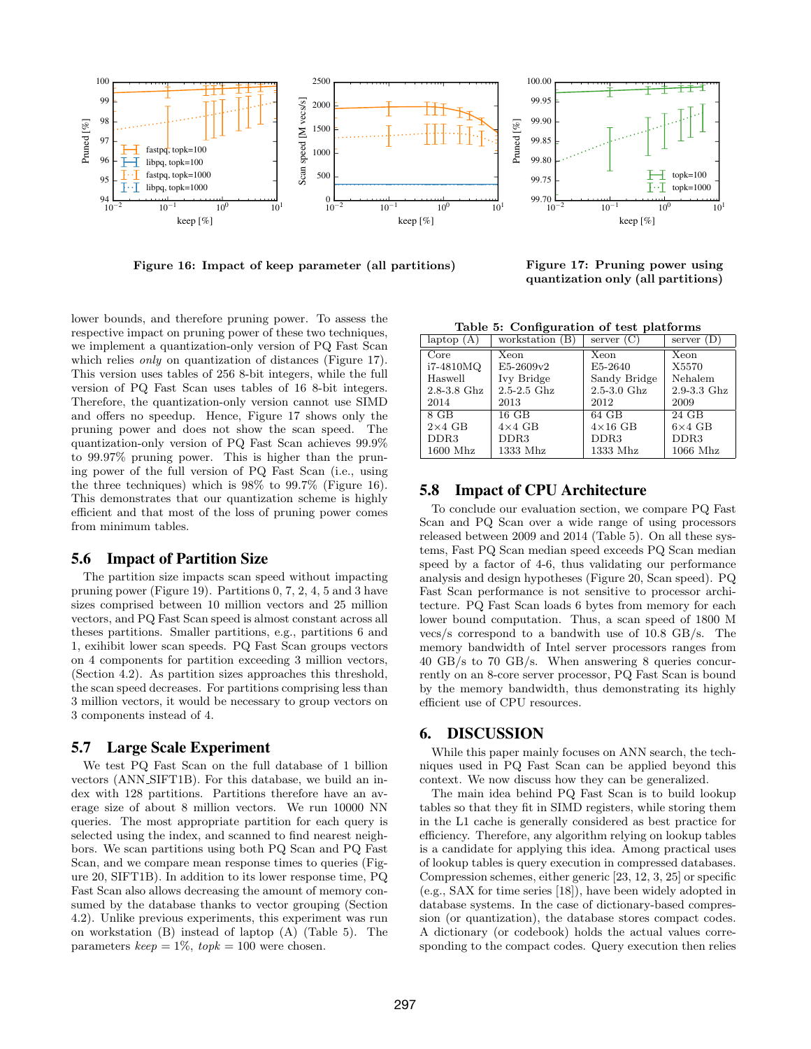

<span id="page-9-2"></span>Figure 16: Impact of keep parameter (all partitions) Figure 17: Pruning power using

<span id="page-9-3"></span><span id="page-9-1"></span>quantization only (all partitions)

lower bounds, and therefore pruning power. To assess the respective impact on pruning power of these two techniques, we implement a quantization-only version of PQ Fast Scan which relies *only* on quantization of distances (Figure [17\)](#page-9-3). This version uses tables of 256 8-bit integers, while the full version of PQ Fast Scan uses tables of 16 8-bit integers. Therefore, the quantization-only version cannot use SIMD and offers no speedup. Hence, Figure [17](#page-9-3) shows only the pruning power and does not show the scan speed. The quantization-only version of PQ Fast Scan achieves 99.9% to 99.97% pruning power. This is higher than the pruning power of the full version of PQ Fast Scan (i.e., using the three techniques) which is 98% to 99.7% (Figure [16\)](#page-9-2). This demonstrates that our quantization scheme is highly efficient and that most of the loss of pruning power comes from minimum tables.

#### <span id="page-9-0"></span>5.6 Impact of Partition Size

The partition size impacts scan speed without impacting pruning power (Figure [19\)](#page-10-1). Partitions 0, 7, 2, 4, 5 and 3 have sizes comprised between 10 million vectors and 25 million vectors, and PQ Fast Scan speed is almost constant across all theses partitions. Smaller partitions, e.g., partitions 6 and 1, exihibit lower scan speeds. PQ Fast Scan groups vectors on 4 components for partition exceeding 3 million vectors, (Section [4.2\)](#page-5-3). As partition sizes approaches this threshold, the scan speed decreases. For partitions comprising less than 3 million vectors, it would be necessary to group vectors on 3 components instead of 4.

#### 5.7 Large Scale Experiment

We test PQ Fast Scan on the full database of 1 billion vectors (ANN SIFT1B). For this database, we build an index with 128 partitions. Partitions therefore have an average size of about 8 million vectors. We run 10000 NN queries. The most appropriate partition for each query is selected using the index, and scanned to find nearest neighbors. We scan partitions using both PQ Scan and PQ Fast Scan, and we compare mean response times to queries (Figure [20,](#page-10-2) SIFT1B). In addition to its lower response time, PQ Fast Scan also allows decreasing the amount of memory consumed by the database thanks to vector grouping (Section [4.2\)](#page-5-3). Unlike previous experiments, this experiment was run on workstation (B) instead of laptop (A) (Table [5\)](#page-9-1). The parameters  $keep = 1\%, topk = 100$  were chosen.

Table 5: Configuration of test platforms

| $l$ aptop $(A)$  | workstation (B)  | server $(C)$     | server $(D)$     |
|------------------|------------------|------------------|------------------|
| Core             | Xeon             | Xeon             | Xeon             |
| i7-4810MQ        | E5-2609v2        | E5-2640          | X5570            |
| Haswell          | Ivy Bridge       | Sandy Bridge     | Nehalem          |
| $2.8 - 3.8$ Ghz  | $2.5 - 2.5$ Ghz  | $2.5 - 3.0$ Ghz  | $2.9 - 3.3$ Ghz  |
| 2014             | 2013             | 2012             | 2009             |
| 8 GB             | 16 GB            | 64 GB            | 24 GB            |
| $2\times4$ GB    | $4\times4$ GB    | $4\times16$ GB   | $6\times4$ GB    |
| DDR <sub>3</sub> | DDR <sub>3</sub> | DDR <sub>3</sub> | DDR <sub>3</sub> |
| $1600$ Mhz       | 1333 Mhz         | 1333 Mhz         | $1066$ Mhz       |

# 5.8 Impact of CPU Architecture

To conclude our evaluation section, we compare PQ Fast Scan and PQ Scan over a wide range of using processors released between 2009 and 2014 (Table [5\)](#page-9-1). On all these systems, Fast PQ Scan median speed exceeds PQ Scan median speed by a factor of 4-6, thus validating our performance analysis and design hypotheses (Figure [20,](#page-10-2) Scan speed). PQ Fast Scan performance is not sensitive to processor architecture. PQ Fast Scan loads 6 bytes from memory for each lower bound computation. Thus, a scan speed of 1800 M vecs/s correspond to a bandwith use of 10.8 GB/s. The memory bandwidth of Intel server processors ranges from 40 GB/s to 70 GB/s. When answering 8 queries concurrently on an 8-core server processor, PQ Fast Scan is bound by the memory bandwidth, thus demonstrating its highly efficient use of CPU resources.

# 6. DISCUSSION

While this paper mainly focuses on ANN search, the techniques used in PQ Fast Scan can be applied beyond this context. We now discuss how they can be generalized.

The main idea behind PQ Fast Scan is to build lookup tables so that they fit in SIMD registers, while storing them in the L1 cache is generally considered as best practice for efficiency. Therefore, any algorithm relying on lookup tables is a candidate for applying this idea. Among practical uses of lookup tables is query execution in compressed databases. Compression schemes, either generic [\[23,](#page-11-14) [12,](#page-11-15) [3,](#page-11-16) [25\]](#page-11-17) or specific (e.g., SAX for time series [\[18\]](#page-11-18)), have been widely adopted in database systems. In the case of dictionary-based compression (or quantization), the database stores compact codes. A dictionary (or codebook) holds the actual values corresponding to the compact codes. Query execution then relies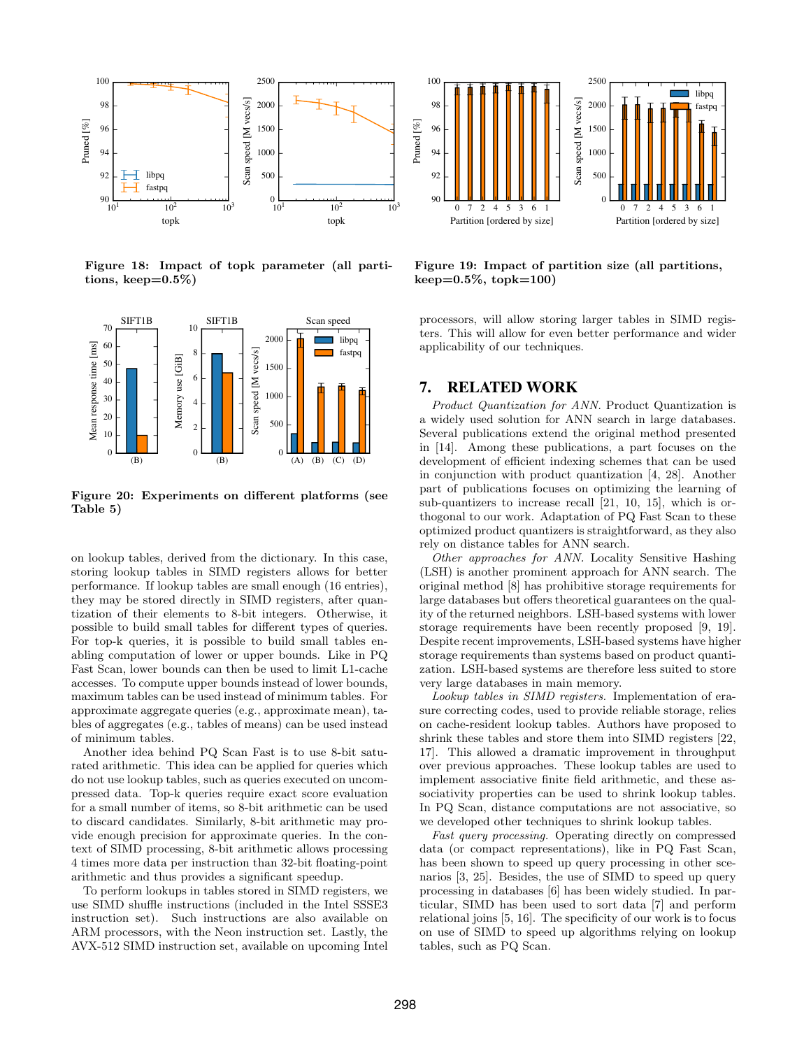

<span id="page-10-0"></span>Figure 18: Impact of topk parameter (all partitions, keep= $0.5\%$ )



<span id="page-10-2"></span>Figure 20: Experiments on different platforms (see Table [5\)](#page-9-1)

on lookup tables, derived from the dictionary. In this case, storing lookup tables in SIMD registers allows for better performance. If lookup tables are small enough (16 entries), they may be stored directly in SIMD registers, after quantization of their elements to 8-bit integers. Otherwise, it possible to build small tables for different types of queries. For top-k queries, it is possible to build small tables enabling computation of lower or upper bounds. Like in PQ Fast Scan, lower bounds can then be used to limit L1-cache accesses. To compute upper bounds instead of lower bounds, maximum tables can be used instead of minimum tables. For approximate aggregate queries (e.g., approximate mean), tables of aggregates (e.g., tables of means) can be used instead of minimum tables.

Another idea behind PQ Scan Fast is to use 8-bit saturated arithmetic. This idea can be applied for queries which do not use lookup tables, such as queries executed on uncompressed data. Top-k queries require exact score evaluation for a small number of items, so 8-bit arithmetic can be used to discard candidates. Similarly, 8-bit arithmetic may provide enough precision for approximate queries. In the context of SIMD processing, 8-bit arithmetic allows processing 4 times more data per instruction than 32-bit floating-point arithmetic and thus provides a significant speedup.

To perform lookups in tables stored in SIMD registers, we use SIMD shuffle instructions (included in the Intel SSSE3 instruction set). Such instructions are also available on ARM processors, with the Neon instruction set. Lastly, the AVX-512 SIMD instruction set, available on upcoming Intel



<span id="page-10-1"></span>Figure 19: Impact of partition size (all partitions,  $keep=0.5\%, topk=100)$ 

processors, will allow storing larger tables in SIMD registers. This will allow for even better performance and wider applicability of our techniques.

#### 7. RELATED WORK

Product Quantization for ANN. Product Quantization is a widely used solution for ANN search in large databases. Several publications extend the original method presented in [\[14\]](#page-11-4). Among these publications, a part focuses on the development of efficient indexing schemes that can be used in conjunction with product quantization [\[4,](#page-11-7) [28\]](#page-11-19). Another part of publications focuses on optimizing the learning of sub-quantizers to increase recall [\[21,](#page-11-9) [10,](#page-11-8) [15\]](#page-11-20), which is orthogonal to our work. Adaptation of PQ Fast Scan to these optimized product quantizers is straightforward, as they also rely on distance tables for ANN search.

Other approaches for ANN. Locality Sensitive Hashing (LSH) is another prominent approach for ANN search. The original method [\[8\]](#page-11-1) has prohibitive storage requirements for large databases but offers theoretical guarantees on the quality of the returned neighbors. LSH-based systems with lower storage requirements have been recently proposed [\[9,](#page-11-21) [19\]](#page-11-2). Despite recent improvements, LSH-based systems have higher storage requirements than systems based on product quantization. LSH-based systems are therefore less suited to store very large databases in main memory.

Lookup tables in SIMD registers. Implementation of erasure correcting codes, used to provide reliable storage, relies on cache-resident lookup tables. Authors have proposed to shrink these tables and store them into SIMD registers [\[22,](#page-11-22) [17\]](#page-11-23). This allowed a dramatic improvement in throughput over previous approaches. These lookup tables are used to implement associative finite field arithmetic, and these associativity properties can be used to shrink lookup tables. In PQ Scan, distance computations are not associative, so we developed other techniques to shrink lookup tables.

Fast query processing. Operating directly on compressed data (or compact representations), like in PQ Fast Scan, has been shown to speed up query processing in other scenarios [\[3,](#page-11-16) [25\]](#page-11-17). Besides, the use of SIMD to speed up query processing in databases [\[6\]](#page-11-24) has been widely studied. In particular, SIMD has been used to sort data [\[7\]](#page-11-25) and perform relational joins [\[5,](#page-11-26) [16\]](#page-11-27). The specificity of our work is to focus on use of SIMD to speed up algorithms relying on lookup tables, such as PQ Scan.